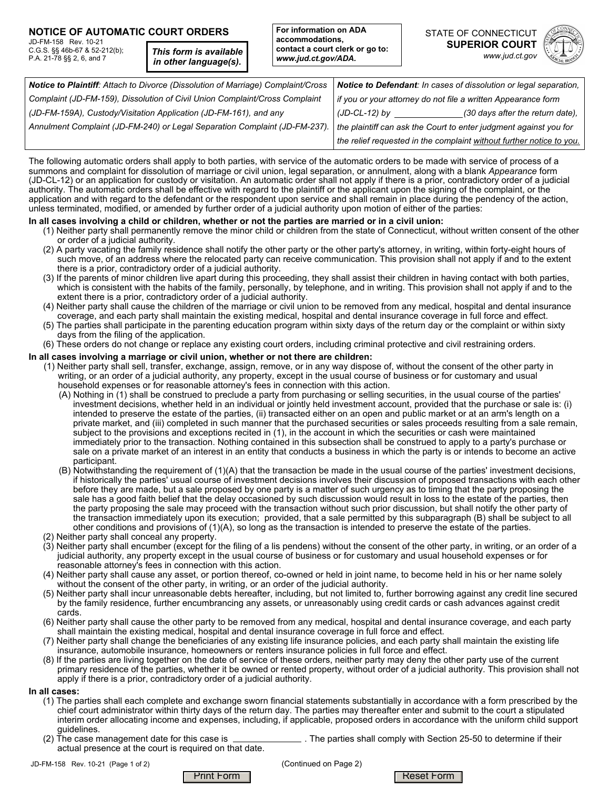### **NOTICE OF AUTOMATIC COURT ORDERS**

JD-FM-158 Rev. 10-21 C.G.S. §§ 46b-67 & 52-212(b); P.A. 21-78 §§ 2, 6, and 7

*This form is available in other language(s).*



| Notice to Plaintiff: Attach to Divorce (Dissolution of Marriage) Complaint/Cross | Notice to Defendant: In cases of dissolution or legal separation,    |                                  |
|----------------------------------------------------------------------------------|----------------------------------------------------------------------|----------------------------------|
| Complaint (JD-FM-159), Dissolution of Civil Union Complaint/Cross Complaint      | if you or your attorney do not file a written Appearance form        |                                  |
| (JD-FM-159A), Custody/Visitation Application (JD-FM-161), and any                | (JD-CL-12) by                                                        | (30 days after the return date). |
| Annulment Complaint (JD-FM-240) or Legal Separation Complaint (JD-FM-237).       | the plaintiff can ask the Court to enter judgment against you for    |                                  |
|                                                                                  | the relief requested in the complaint without further notice to you. |                                  |

The following automatic orders shall apply to both parties, with service of the automatic orders to be made with service of process of a summons and complaint for dissolution of marriage or civil union, legal separation, or annulment, along with a blank *Appearance* form (JD-CL-12) or an application for custody or visitation. An automatic order shall not apply if there is a prior, contradictory order of a judicial authority. The automatic orders shall be effective with regard to the plaintiff or the applicant upon the signing of the complaint, or the application and with regard to the defendant or the respondent upon service and shall remain in place during the pendency of the action, unless terminated, modified, or amended by further order of a judicial authority upon motion of either of the parties:

### **In all cases involving a child or children, whether or not the parties are married or in a civil union:**

- (1) Neither party shall permanently remove the minor child or children from the state of Connecticut, without written consent of the other or order of a judicial authority.
- (2) A party vacating the family residence shall notify the other party or the other party's attorney, in writing, within forty-eight hours of such move, of an address where the relocated party can receive communication. This provision shall not apply if and to the extent there is a prior, contradictory order of a judicial authority.
- (3) If the parents of minor children live apart during this proceeding, they shall assist their children in having contact with both parties, which is consistent with the habits of the family, personally, by telephone, and in writing. This provision shall not apply if and to the extent there is a prior, contradictory order of a judicial authority.
- (4) Neither party shall cause the children of the marriage or civil union to be removed from any medical, hospital and dental insurance coverage, and each party shall maintain the existing medical, hospital and dental insurance coverage in full force and effect.
- (5) The parties shall participate in the parenting education program within sixty days of the return day or the complaint or within sixty days from the filing of the application.
- (6) These orders do not change or replace any existing court orders, including criminal protective and civil restraining orders.

### **In all cases involving a marriage or civil union, whether or not there are children:**

- (1)]Neither party shall sell, transfer, exchange, assign, remove, or in any way dispose of, without the consent of the other party in writing, or an order of a judicial authority, any property, except in the usual course of business or for customary and usual household expenses or for reasonable attorney's fees in connection with this action.
	- (A) Nothing in (1) shall be construed to preclude a party from purchasing or selling securities, in the usual course of the parties' investment decisions, whether held in an individual or jointly held investment account, provided that the purchase or sale is: (i) intended to preserve the estate of the parties, (ii) transacted either on an open and public market or at an arm's length on a private market, and (iii) completed in such manner that the purchased securities or sales proceeds resulting from a sale remain, subject to the provisions and exceptions recited in (1), in the account in which the securities or cash were maintained immediately prior to the transaction. Nothing contained in this subsection shall be construed to apply to a party's purchase or sale on a private market of an interest in an entity that conducts a business in which the party is or intends to become an active participant.
	- (B) Notwithstanding the requirement of (1)(A) that the transaction be made in the usual course of the parties' investment decisions, if historically the parties' usual course of investment decisions involves their discussion of proposed transactions with each other before they are made, but a sale proposed by one party is a matter of such urgency as to timing that the party proposing the sale has a good faith belief that the delay occasioned by such discussion would result in loss to the estate of the parties, then the party proposing the sale may proceed with the transaction without such prior discussion, but shall notify the other party of the transaction immediately upon its execution; provided, that a sale permitted by this subparagraph (B) shall be subject to all other conditions and provisions of (1)(A), so long as the transaction is intended to preserve the estate of the parties.
- (2) Neither party shall conceal any property.
- (3) Neither party shall encumber (except for the filing of a lis pendens) without the consent of the other party, in writing, or an order of a judicial authority, any property except in the usual course of business or for customary and usual household expenses or for reasonable attorney's fees in connection with this action.
- (4) Neither party shall cause any asset, or portion thereof, co-owned or held in joint name, to become held in his or her name solely without the consent of the other party, in writing, or an order of the judicial authority.
- (5) Neither party shall incur unreasonable debts hereafter, including, but not limited to, further borrowing against any credit line secured by the family residence, further encumbrancing any assets, or unreasonably using credit cards or cash advances against credit cards.
- (6) Neither party shall cause the other party to be removed from any medical, hospital and dental insurance coverage, and each party shall maintain the existing medical, hospital and dental insurance coverage in full force and effect.
- (7) Neither party shall change the beneficiaries of any existing life insurance policies, and each party shall maintain the existing life insurance, automobile insurance, homeowners or renters insurance policies in full force and effect.
- (8) If the parties are living together on the date of service of these orders, neither party may deny the other party use of the current primary residence of the parties, whether it be owned or rented property, without order of a judicial authority. This provision shall not apply if there is a prior, contradictory order of a judicial authority.

### **In all cases:**

- (1) The parties shall each complete and exchange sworn financial statements substantially in accordance with a form prescribed by the chief court administrator within thirty days of the return day. The parties may thereafter enter and submit to the court a stipulated interim order allocating income and expenses, including, if applicable, proposed orders in accordance with the uniform child support guidelines.<br>(2) The case management date for this case is
- $\_$  . The parties shall comply with Section 25-50 to determine if their actual presence at the court is required on that date.

JD-FM-158 Rev. 10-21 (Page 1 of 2) (Continued on Page 2)